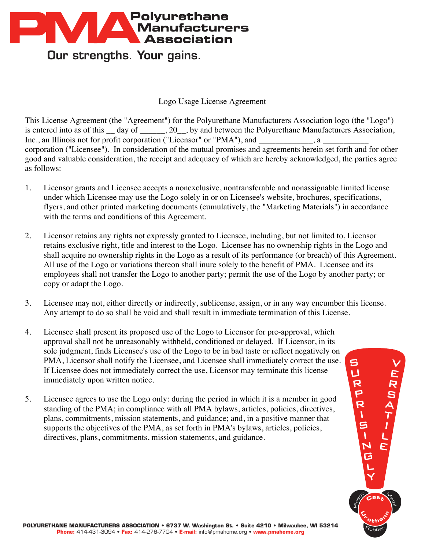

Our strengths. Your gains.

## Logo Usage License Agreement

This License Agreement (the "Agreement") for the Polyurethane Manufacturers Association logo (the "Logo") is entered into as of this day of ... 20 by and between the Polyurethane Manufacturers Association, Inc., an Illinois not for profit corporation ("Licensor" or "PMA"), and \_\_\_\_\_\_\_\_\_ corporation ("Licensee"). In consideration of the mutual promises and agreements herein set forth and for other good and valuable consideration, the receipt and adequacy of which are hereby acknowledged, the parties agree as follows:

- 1. Licensor grants and Licensee accepts a nonexclusive, nontransferable and nonassignable limited license under which Licensee may use the Logo solely in or on Licensee's website, brochures, specifications, flyers, and other printed marketing documents (cumulatively, the "Marketing Materials") in accordance with the terms and conditions of this Agreement.
- 2. Licensor retains any rights not expressly granted to Licensee, including, but not limited to, Licensor retains exclusive right, title and interest to the Logo. Licensee has no ownership rights in the Logo and shall acquire no ownership rights in the Logo as a result of its performance (or breach) of this Agreement. All use of the Logo or variations thereon shall inure solely to the benefit of PMA. Licensee and its employees shall not transfer the Logo to another party; permit the use of the Logo by another party; or copy or adapt the Logo.
- 3. Licensee may not, either directly or indirectly, sublicense, assign, or in any way encumber this license. Any attempt to do so shall be void and shall result in immediate termination of this License.
- 4. Licensee shall present its proposed use of the Logo to Licensor for pre-approval, which approval shall not be unreasonably withheld, conditioned or delayed. If Licensor, in its sole judgment, finds Licensee's use of the Logo to be in bad taste or reflect negatively on PMA, Licensor shall notify the Licensee, and Licensee shall immediately correct the use. If Licensee does not immediately correct the use, Licensor may terminate this license immediately upon written notice.
- 5. Licensee agrees to use the Logo only: during the period in which it is a member in good standing of the PMA; in compliance with all PMA bylaws, articles, policies, directives, plans, commitments, mission statements, and guidance; and, in a positive manner that supports the objectives of the PMA, as set forth in PMA's bylaws, articles, policies, directives, plans, commitments, mission statements, and guidance.